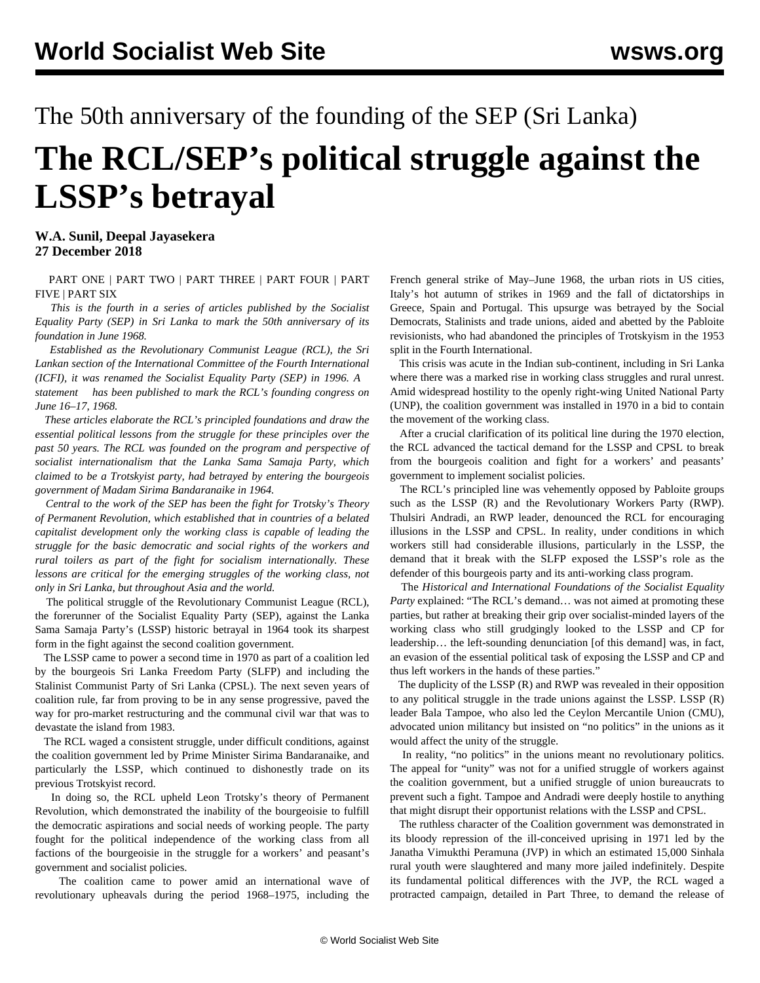The 50th anniversary of the founding of the SEP (Sri Lanka)

## **The RCL/SEP's political struggle against the LSSP's betrayal**

**W.A. Sunil, Deepal Jayasekera 27 December 2018**

 [PART ONE](/en/articles/2018/09/24/sri1-s24.html) | [PART TWO](/en/articles/2018/09/26/sri2-s26.html) | [PART THREE](/en/articles/2018/09/28/sri3-s28.html) | [PART FOUR](/en/articles/2018/12/27/aniv-d27.html) | [PART](/en/articles/2018/12/28/sri5-d28.html) [FIVE](/en/articles/2018/12/28/sri5-d28.html) | [PART SIX](/en/articles/2018/12/29/aniv-d29.html)

 *This is the fourth in a series of articles published by the Socialist Equality Party (SEP) in Sri Lanka to mark the 50th anniversary of its foundation in June 1968.*

 *Established as the Revolutionary Communist League (RCL), the Sri Lankan section of the International Committee of the Fourth International (ICFI), it was renamed the Socialist Equality Party (SEP) in 1996. A [statement](/en/articles/2018/06/16/lank-j16.html) has been published to mark the RCL's founding congress on June 16–17, 1968.*

 *These articles elaborate the RCL's principled foundations and draw the essential political lessons from the struggle for these principles over the past 50 years. The RCL was founded on the program and perspective of socialist internationalism that the Lanka Sama Samaja Party, which claimed to be a Trotskyist party, had betrayed by entering the bourgeois government of Madam Sirima Bandaranaike in 1964.*

 *Central to the work of the SEP has been the fight for Trotsky's Theory of Permanent Revolution, which established that in countries of a belated capitalist development only the working class is capable of leading the struggle for the basic democratic and social rights of the workers and rural toilers as part of the fight for socialism internationally. These lessons are critical for the emerging struggles of the working class, not only in Sri Lanka, but throughout Asia and the world.*

 The political struggle of the Revolutionary Communist League (RCL), the forerunner of the Socialist Equality Party (SEP), against the Lanka Sama Samaja Party's (LSSP) historic betrayal in 1964 took its sharpest form in the fight against the second coalition government.

 The LSSP came to power a second time in 1970 as part of a coalition led by the bourgeois Sri Lanka Freedom Party (SLFP) and including the Stalinist Communist Party of Sri Lanka (CPSL). The next seven years of coalition rule, far from proving to be in any sense progressive, paved the way for pro-market restructuring and the communal civil war that was to devastate the island from 1983.

 The RCL waged a consistent struggle, under difficult conditions, against the coalition government led by Prime Minister Sirima Bandaranaike, and particularly the LSSP, which continued to dishonestly trade on its previous Trotskyist record.

 In doing so, the RCL upheld Leon Trotsky's theory of Permanent Revolution, which demonstrated the inability of the bourgeoisie to fulfill the democratic aspirations and social needs of working people. The party fought for the political independence of the working class from all factions of the bourgeoisie in the struggle for a workers' and peasant's government and socialist policies.

 The coalition came to power amid an international wave of revolutionary upheavals during the period 1968–1975, including the

French general strike of May–June 1968, the urban riots in US cities, Italy's hot autumn of strikes in 1969 and the fall of dictatorships in Greece, Spain and Portugal. This upsurge was betrayed by the Social Democrats, Stalinists and trade unions, aided and abetted by the Pabloite revisionists, who had abandoned the principles of Trotskyism in the 1953 split in the Fourth International.

 This crisis was acute in the Indian sub-continent, including in Sri Lanka where there was a marked rise in working class struggles and rural unrest. Amid widespread hostility to the openly right-wing United National Party (UNP), the coalition government was installed in 1970 in a bid to contain the movement of the working class.

 After a crucial clarification of its [political line](/en/articles/2018/09/28/sri3-s28.html) during the 1970 election, the RCL advanced the tactical demand for the LSSP and CPSL to break from the bourgeois coalition and fight for a workers' and peasants' government to implement socialist policies.

 The RCL's principled line was vehemently opposed by Pabloite groups such as the LSSP (R) and the Revolutionary Workers Party (RWP). Thulsiri Andradi, an RWP leader, denounced the RCL for encouraging illusions in the LSSP and CPSL. In reality, under conditions in which workers still had considerable illusions, particularly in the LSSP, the demand that it break with the SLFP exposed the LSSP's role as the defender of this bourgeois party and its anti-working class program.

 The *Historical and International Foundations of the Socialist Equality Party* explained: "The RCL's demand… was not aimed at promoting these parties, but rather at breaking their grip over socialist-minded layers of the working class who still grudgingly looked to the LSSP and CP for leadership… the left-sounding denunciation [of this demand] was, in fact, an evasion of the essential political task of exposing the LSSP and CP and thus left workers in the hands of these parties."

 The duplicity of the LSSP (R) and RWP was revealed in their opposition to any political struggle in the trade unions against the LSSP. LSSP (R) leader Bala Tampoe, who also led the Ceylon Mercantile Union (CMU), advocated union militancy but insisted on "no politics" in the unions as it would affect the unity of the struggle.

 In reality, "no politics" in the unions meant no revolutionary politics. The appeal for "unity" was not for a unified struggle of workers against the coalition government, but a unified struggle of union bureaucrats to prevent such a fight. Tampoe and Andradi were deeply hostile to anything that might disrupt their opportunist relations with the LSSP and CPSL.

 The ruthless character of the Coalition government was demonstrated in its bloody repression of the ill-conceived uprising in 1971 led by the Janatha Vimukthi Peramuna (JVP) in which an estimated 15,000 Sinhala rural youth were slaughtered and many more jailed indefinitely. Despite its fundamental political differences with the JVP, the RCL waged a protracted campaign, detailed in [Part Three,](/en/articles/2018/09/28/sri3-s28.html) to demand the release of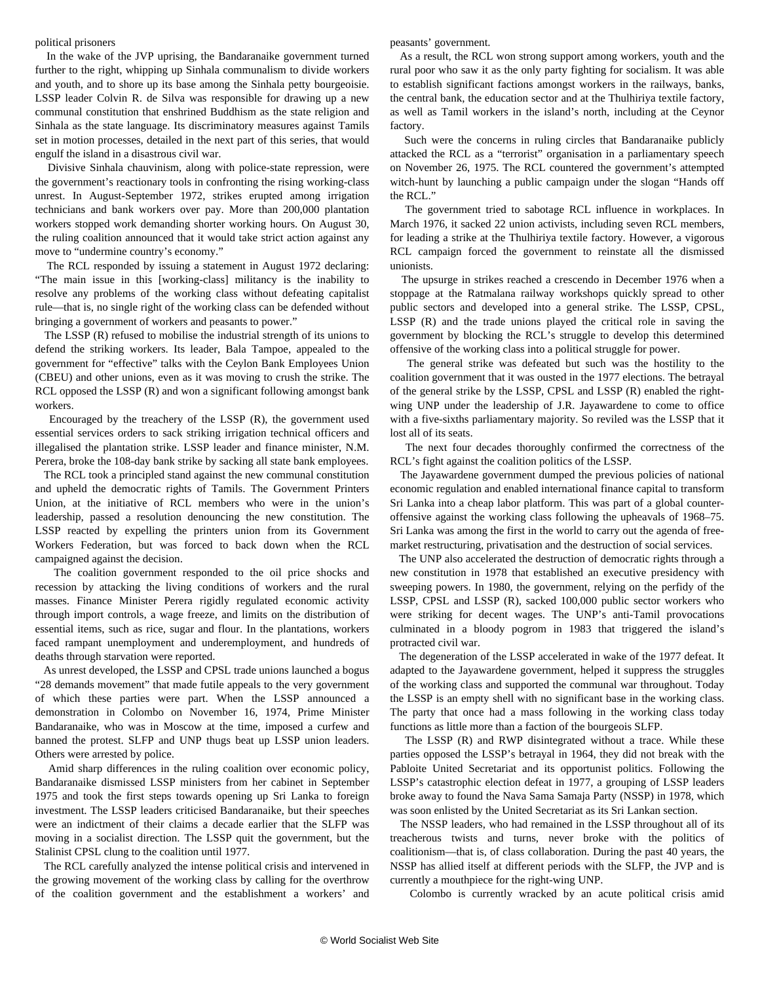## political prisoners

 In the wake of the JVP uprising, the Bandaranaike government turned further to the right, whipping up Sinhala communalism to divide workers and youth, and to shore up its base among the Sinhala petty bourgeoisie. LSSP leader Colvin R. de Silva was responsible for drawing up a new communal constitution that enshrined Buddhism as the state religion and Sinhala as the state language. Its discriminatory measures against Tamils set in motion processes, detailed in the next part of this series, that would engulf the island in a disastrous civil war.

 Divisive Sinhala chauvinism, along with police-state repression, were the government's reactionary tools in confronting the rising working-class unrest. In August-September 1972, strikes erupted among irrigation technicians and bank workers over pay. More than 200,000 plantation workers stopped work demanding shorter working hours. On August 30, the ruling coalition announced that it would take strict action against any move to "undermine country's economy."

 The RCL responded by issuing a statement in August 1972 declaring: "The main issue in this [working-class] militancy is the inability to resolve any problems of the working class without defeating capitalist rule—that is, no single right of the working class can be defended without bringing a government of workers and peasants to power."

 The LSSP (R) refused to mobilise the industrial strength of its unions to defend the striking workers. Its leader, Bala Tampoe, appealed to the government for "effective" talks with the Ceylon Bank Employees Union (CBEU) and other unions, even as it was moving to crush the strike. The RCL opposed the LSSP (R) and won a significant following amongst bank workers.

 Encouraged by the treachery of the LSSP (R), the government used essential services orders to sack striking irrigation technical officers and illegalised the plantation strike. LSSP leader and finance minister, N.M. Perera, broke the 108-day bank strike by sacking all state bank employees.

 The RCL took a principled stand against the new communal constitution and upheld the democratic rights of Tamils. The Government Printers Union, at the initiative of RCL members who were in the union's leadership, passed a resolution denouncing the new constitution. The LSSP reacted by expelling the printers union from its Government Workers Federation, but was forced to back down when the RCL campaigned against the decision.

 The coalition government responded to the oil price shocks and recession by attacking the living conditions of workers and the rural masses. Finance Minister Perera rigidly regulated economic activity through import controls, a wage freeze, and limits on the distribution of essential items, such as rice, sugar and flour. In the plantations, workers faced rampant unemployment and underemployment, and hundreds of deaths through starvation were reported.

 As unrest developed, the LSSP and CPSL trade unions launched a bogus "28 demands movement" that made futile appeals to the very government of which these parties were part. When the LSSP announced a demonstration in Colombo on November 16, 1974, Prime Minister Bandaranaike, who was in Moscow at the time, imposed a curfew and banned the protest. SLFP and UNP thugs beat up LSSP union leaders. Others were arrested by police.

 Amid sharp differences in the ruling coalition over economic policy, Bandaranaike dismissed LSSP ministers from her cabinet in September 1975 and took the first steps towards opening up Sri Lanka to foreign investment. The LSSP leaders criticised Bandaranaike, but their speeches were an indictment of their claims a decade earlier that the SLFP was moving in a socialist direction. The LSSP quit the government, but the Stalinist CPSL clung to the coalition until 1977.

 The RCL carefully analyzed the intense political crisis and intervened in the growing movement of the working class by calling for the overthrow of the coalition government and the establishment a workers' and

peasants' government.

 As a result, the RCL won strong support among workers, youth and the rural poor who saw it as the only party fighting for socialism. It was able to establish significant factions amongst workers in the railways, banks, the central bank, the education sector and at the Thulhiriya textile factory, as well as Tamil workers in the island's north, including at the Ceynor factory.

 Such were the concerns in ruling circles that Bandaranaike publicly attacked the RCL as a "terrorist" organisation in a parliamentary speech on November 26, 1975. The RCL countered the government's attempted witch-hunt by launching a public campaign under the slogan "Hands off the RCL."

 The government tried to sabotage RCL influence in workplaces. In March 1976, it sacked 22 union activists, including seven RCL members, for leading a strike at the Thulhiriya textile factory. However, a vigorous RCL campaign forced the government to reinstate all the dismissed unionists.

 The upsurge in strikes reached a crescendo in December 1976 when a stoppage at the Ratmalana railway workshops quickly spread to other public sectors and developed into a general strike. The LSSP, CPSL, LSSP (R) and the trade unions played the critical role in saving the government by blocking the RCL's struggle to develop this determined offensive of the working class into a political struggle for power.

 The general strike was defeated but such was the hostility to the coalition government that it was ousted in the 1977 elections. The betrayal of the general strike by the LSSP, CPSL and LSSP (R) enabled the rightwing UNP under the leadership of J.R. Jayawardene to come to office with a five-sixths parliamentary majority. So reviled was the LSSP that it lost all of its seats.

 The next four decades thoroughly confirmed the correctness of the RCL's fight against the coalition politics of the LSSP.

 The Jayawardene government dumped the previous policies of national economic regulation and enabled international finance capital to transform Sri Lanka into a cheap labor platform. This was part of a global counteroffensive against the working class following the upheavals of 1968–75. Sri Lanka was among the first in the world to carry out the agenda of freemarket restructuring, privatisation and the destruction of social services.

 The UNP also accelerated the destruction of democratic rights through a new constitution in 1978 that established an executive presidency with sweeping powers. In 1980, the government, relying on the perfidy of the LSSP, CPSL and LSSP (R), sacked 100,000 public sector workers who were striking for decent wages. The UNP's anti-Tamil provocations culminated in a bloody pogrom in 1983 that triggered the island's protracted civil war.

 The degeneration of the LSSP accelerated in wake of the 1977 defeat. It adapted to the Jayawardene government, helped it suppress the struggles of the working class and supported the communal war throughout. Today the LSSP is an empty shell with no significant base in the working class. The party that once had a mass following in the working class today functions as little more than a faction of the bourgeois SLFP.

 The LSSP (R) and RWP disintegrated without a trace. While these parties opposed the LSSP's betrayal in 1964, they did not break with the Pabloite United Secretariat and its opportunist politics. Following the LSSP's catastrophic election defeat in 1977, a grouping of LSSP leaders broke away to found the Nava Sama Samaja Party (NSSP) in 1978, which was soon enlisted by the United Secretariat as its Sri Lankan section.

 The NSSP leaders, who had remained in the LSSP throughout all of its treacherous twists and turns, never broke with the politics of coalitionism—that is, of class collaboration. During the past 40 years, the NSSP has allied itself at different periods with the SLFP, the JVP and is currently a mouthpiece for the right-wing UNP.

Colombo is currently wracked by an acute political crisis amid